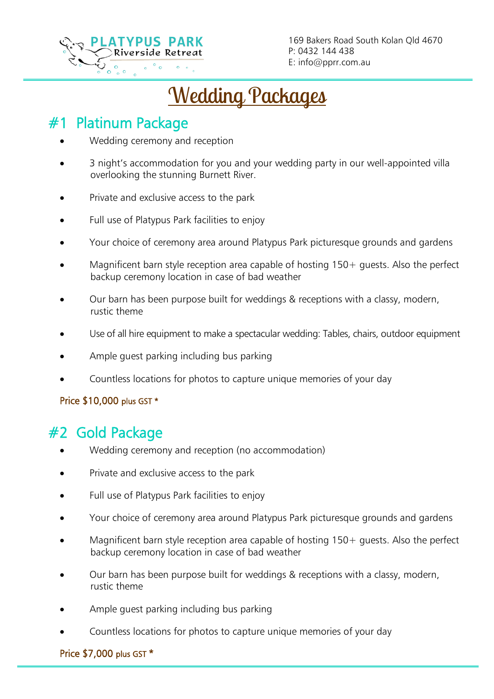

169 Bakers Road South Kolan Qld 4670 P: 0432 144 438 E: info@pprr.com.au

Wedding Packages

# #1 Platinum Package

L

- Wedding ceremony and reception
- 3 night's accommodation for you and your wedding party in our well-appointed villa overlooking the stunning Burnett River.
- Private and exclusive access to the park
- Full use of Platypus Park facilities to enjoy
- Your choice of ceremony area around Platypus Park picturesque grounds and gardens
- Magnificent barn style reception area capable of hosting  $150+$  guests. Also the perfect backup ceremony location in case of bad weather
- Our barn has been purpose built for weddings & receptions with a classy, modern, rustic theme
- Use of all hire equipment to make a spectacular wedding: Tables, chairs, outdoor equipment
- Ample guest parking including bus parking
- Countless locations for photos to capture unique memories of your day

### Price \$10,000 plus GST \*

# #2 Gold Package

- Wedding ceremony and reception (no accommodation)
- Private and exclusive access to the park
- Full use of Platypus Park facilities to enjoy
- Your choice of ceremony area around Platypus Park picturesque grounds and gardens
- Magnificent barn style reception area capable of hosting  $150+$  quests. Also the perfect backup ceremony location in case of bad weather
- Our barn has been purpose built for weddings & receptions with a classy, modern, rustic theme
- Ample quest parking including bus parking
- Countless locations for photos to capture unique memories of your day

Price \$7,000 plus GST \*